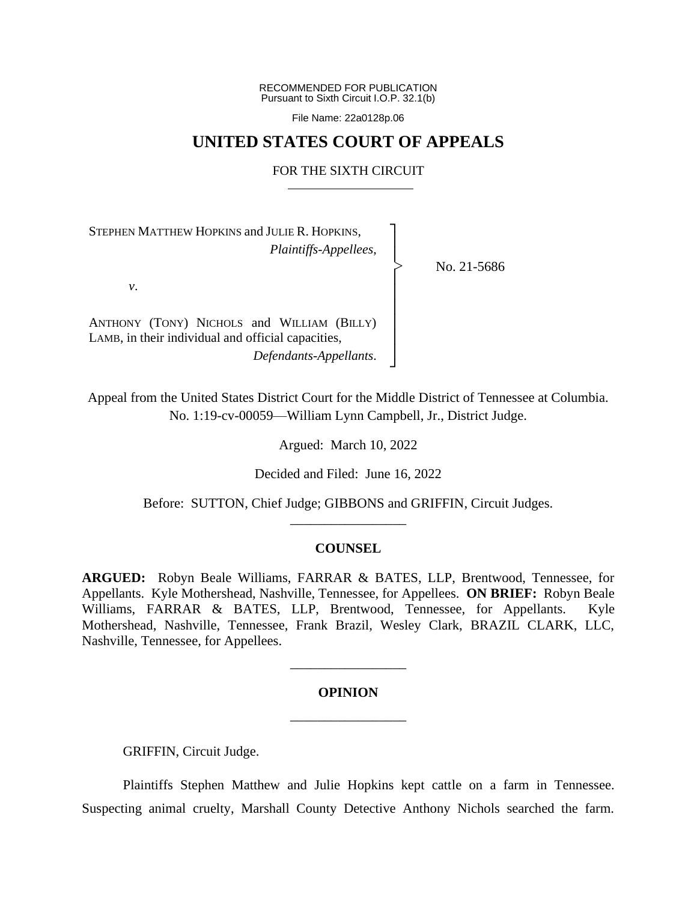RECOMMENDED FOR PUBLICATION Pursuant to Sixth Circuit I.O.P. 32.1(b)

File Name: 22a0128p.06

# **UNITED STATES COURT OF APPEALS**

#### FOR THE SIXTH CIRCUIT

┐ │ │ │ │ │ │ │ │ ┘

|<br>|<br>|

STEPHEN MATTHEW HOPKINS and JULIE R. HOPKINS, *Plaintiffs-Appellees*,

No. 21-5686

*v*.

ANTHONY (TONY) NICHOLS and WILLIAM (BILLY) LAMB, in their individual and official capacities, *Defendants-Appellants*.

Appeal from the United States District Court for the Middle District of Tennessee at Columbia. No. 1:19-cv-00059—William Lynn Campbell, Jr., District Judge.

Argued: March 10, 2022

Decided and Filed: June 16, 2022

Before: SUTTON, Chief Judge; GIBBONS and GRIFFIN, Circuit Judges. \_\_\_\_\_\_\_\_\_\_\_\_\_\_\_\_\_

## **COUNSEL**

**ARGUED:** Robyn Beale Williams, FARRAR & BATES, LLP, Brentwood, Tennessee, for Appellants. Kyle Mothershead, Nashville, Tennessee, for Appellees. **ON BRIEF:** Robyn Beale Williams, FARRAR & BATES, LLP, Brentwood, Tennessee, for Appellants. Kyle Mothershead, Nashville, Tennessee, Frank Brazil, Wesley Clark, BRAZIL CLARK, LLC, Nashville, Tennessee, for Appellees.

## **OPINION**

\_\_\_\_\_\_\_\_\_\_\_\_\_\_\_\_\_

\_\_\_\_\_\_\_\_\_\_\_\_\_\_\_\_\_

GRIFFIN, Circuit Judge.

Plaintiffs Stephen Matthew and Julie Hopkins kept cattle on a farm in Tennessee. Suspecting animal cruelty, Marshall County Detective Anthony Nichols searched the farm.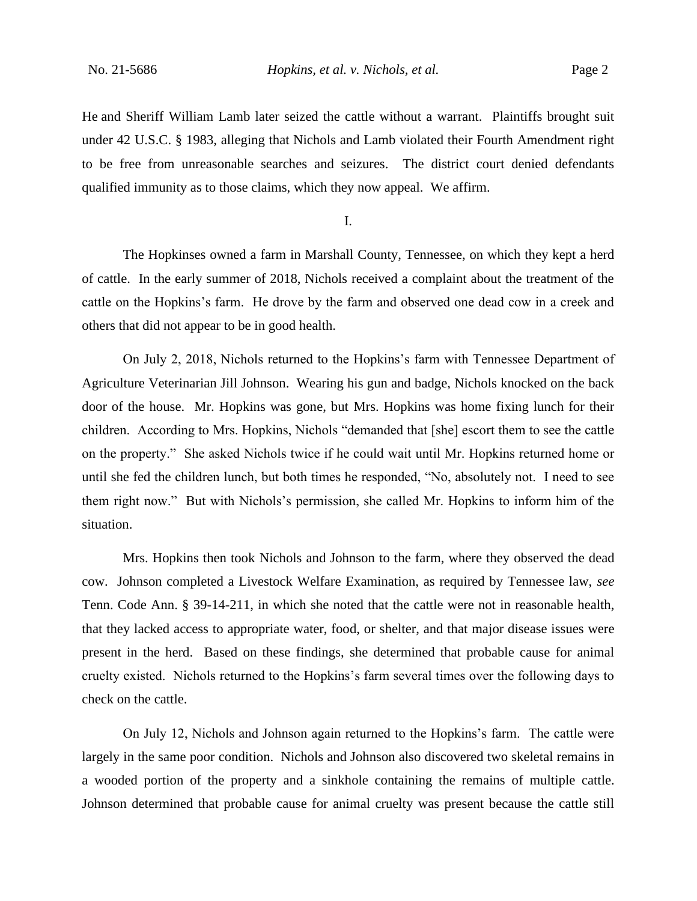He and Sheriff William Lamb later seized the cattle without a warrant. Plaintiffs brought suit under 42 U.S.C. § 1983, alleging that Nichols and Lamb violated their Fourth Amendment right to be free from unreasonable searches and seizures. The district court denied defendants qualified immunity as to those claims, which they now appeal. We affirm.

I.

The Hopkinses owned a farm in Marshall County, Tennessee, on which they kept a herd of cattle. In the early summer of 2018, Nichols received a complaint about the treatment of the cattle on the Hopkins's farm. He drove by the farm and observed one dead cow in a creek and others that did not appear to be in good health.

On July 2, 2018, Nichols returned to the Hopkins's farm with Tennessee Department of Agriculture Veterinarian Jill Johnson. Wearing his gun and badge, Nichols knocked on the back door of the house. Mr. Hopkins was gone, but Mrs. Hopkins was home fixing lunch for their children. According to Mrs. Hopkins, Nichols "demanded that [she] escort them to see the cattle on the property." She asked Nichols twice if he could wait until Mr. Hopkins returned home or until she fed the children lunch, but both times he responded, "No, absolutely not. I need to see them right now." But with Nichols's permission, she called Mr. Hopkins to inform him of the situation.

Mrs. Hopkins then took Nichols and Johnson to the farm, where they observed the dead cow. Johnson completed a Livestock Welfare Examination, as required by Tennessee law, *see*  Tenn. Code Ann. § 39-14-211, in which she noted that the cattle were not in reasonable health, that they lacked access to appropriate water, food, or shelter, and that major disease issues were present in the herd. Based on these findings, she determined that probable cause for animal cruelty existed. Nichols returned to the Hopkins's farm several times over the following days to check on the cattle.

On July 12, Nichols and Johnson again returned to the Hopkins's farm. The cattle were largely in the same poor condition. Nichols and Johnson also discovered two skeletal remains in a wooded portion of the property and a sinkhole containing the remains of multiple cattle. Johnson determined that probable cause for animal cruelty was present because the cattle still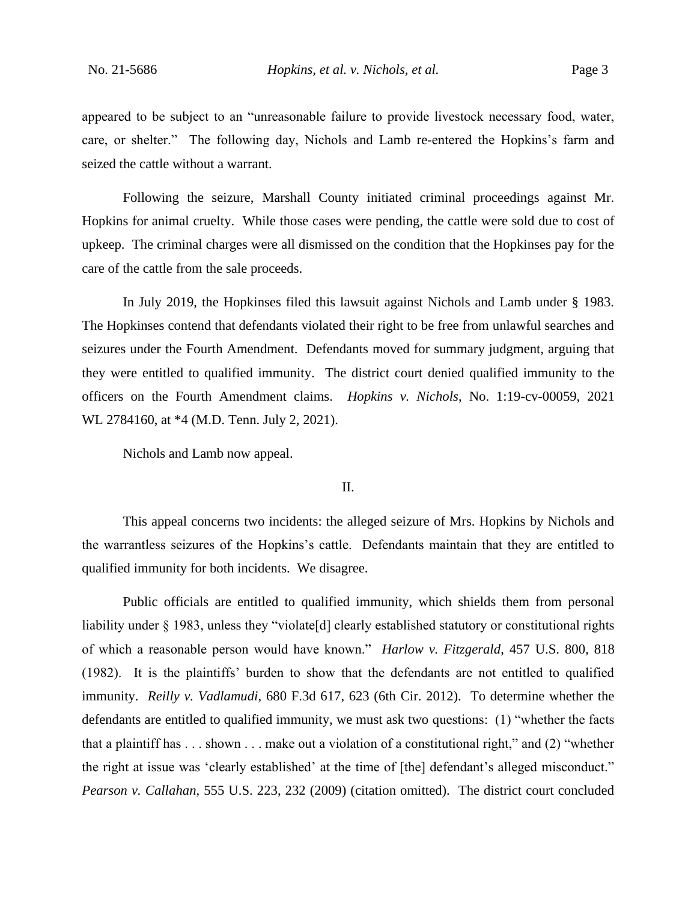appeared to be subject to an "unreasonable failure to provide livestock necessary food, water, care, or shelter." The following day, Nichols and Lamb re-entered the Hopkins's farm and seized the cattle without a warrant.

Following the seizure, Marshall County initiated criminal proceedings against Mr. Hopkins for animal cruelty. While those cases were pending, the cattle were sold due to cost of upkeep. The criminal charges were all dismissed on the condition that the Hopkinses pay for the care of the cattle from the sale proceeds.

In July 2019, the Hopkinses filed this lawsuit against Nichols and Lamb under § 1983. The Hopkinses contend that defendants violated their right to be free from unlawful searches and seizures under the Fourth Amendment. Defendants moved for summary judgment, arguing that they were entitled to qualified immunity. The district court denied qualified immunity to the officers on the Fourth Amendment claims. *Hopkins v. Nichols*, No. 1:19-cv-00059, 2021 WL 2784160, at \*4 (M.D. Tenn. July 2, 2021).

Nichols and Lamb now appeal.

## II.

This appeal concerns two incidents: the alleged seizure of Mrs. Hopkins by Nichols and the warrantless seizures of the Hopkins's cattle. Defendants maintain that they are entitled to qualified immunity for both incidents. We disagree.

Public officials are entitled to qualified immunity, which shields them from personal liability under § 1983, unless they "violate<sup>[d]</sup> clearly established statutory or constitutional rights of which a reasonable person would have known." *Harlow v. Fitzgerald*, 457 U.S. 800, 818 (1982). It is the plaintiffs' burden to show that the defendants are not entitled to qualified immunity. *Reilly v. Vadlamudi*, 680 F.3d 617, 623 (6th Cir. 2012). To determine whether the defendants are entitled to qualified immunity, we must ask two questions: (1) "whether the facts that a plaintiff has  $\dots$  shown  $\dots$  make out a violation of a constitutional right," and (2) "whether the right at issue was 'clearly established' at the time of [the] defendant's alleged misconduct." *Pearson v. Callahan*, 555 U.S. 223, 232 (2009) (citation omitted). The district court concluded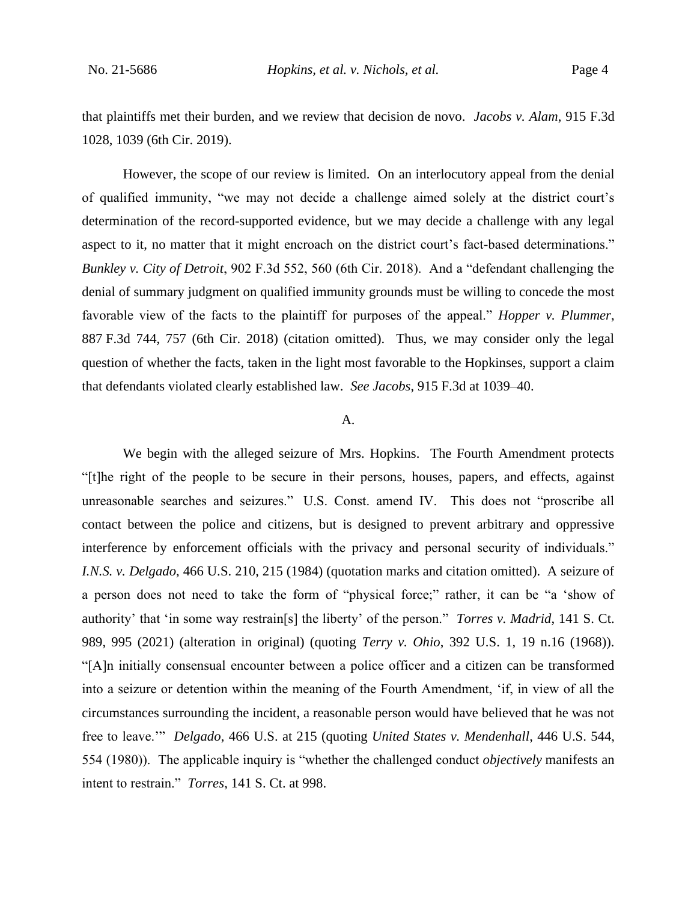that plaintiffs met their burden, and we review that decision de novo. *Jacobs v. Alam*, 915 F.3d 1028, 1039 (6th Cir. 2019).

However, the scope of our review is limited. On an interlocutory appeal from the denial of qualified immunity, "we may not decide a challenge aimed solely at the district court's determination of the record-supported evidence, but we may decide a challenge with any legal aspect to it, no matter that it might encroach on the district court's fact-based determinations." *Bunkley v. City of Detroit*, 902 F.3d 552, 560 (6th Cir. 2018). And a "defendant challenging the denial of summary judgment on qualified immunity grounds must be willing to concede the most favorable view of the facts to the plaintiff for purposes of the appeal." *Hopper v. Plummer*, 887 F.3d 744, 757 (6th Cir. 2018) (citation omitted). Thus, we may consider only the legal question of whether the facts, taken in the light most favorable to the Hopkinses, support a claim that defendants violated clearly established law. *See Jacobs*, 915 F.3d at 1039–40.

## A.

We begin with the alleged seizure of Mrs. Hopkins. The Fourth Amendment protects "[t]he right of the people to be secure in their persons, houses, papers, and effects, against unreasonable searches and seizures." U.S. Const. amend IV. This does not "proscribe all contact between the police and citizens, but is designed to prevent arbitrary and oppressive interference by enforcement officials with the privacy and personal security of individuals." *I.N.S. v. Delgado*, 466 U.S. 210, 215 (1984) (quotation marks and citation omitted). A seizure of a person does not need to take the form of "physical force;" rather, it can be "a 'show of authority' that 'in some way restrain[s] the liberty' of the person." *Torres v. Madrid*, 141 S. Ct. 989, 995 (2021) (alteration in original) (quoting *Terry v. Ohio*, 392 U.S. 1, 19 n.16 (1968)). "[A]n initially consensual encounter between a police officer and a citizen can be transformed into a seizure or detention within the meaning of the Fourth Amendment, 'if, in view of all the circumstances surrounding the incident, a reasonable person would have believed that he was not free to leave.'" *Delgado*, 466 U.S. at 215 (quoting *United States v. Mendenhall*, 446 U.S. 544, 554 (1980)). The applicable inquiry is "whether the challenged conduct *objectively* manifests an intent to restrain." *Torres*, 141 S. Ct. at 998.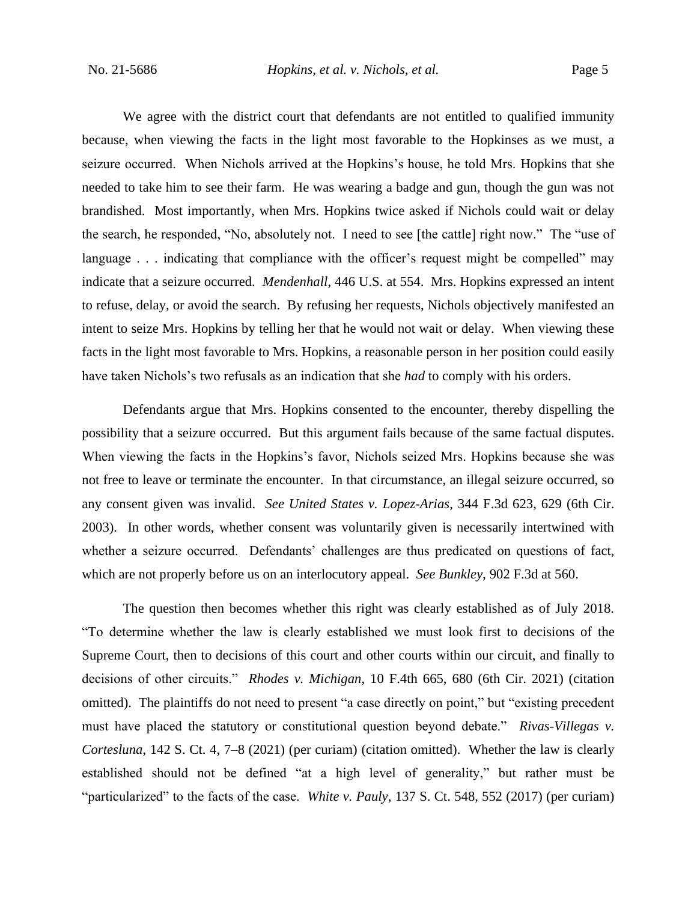We agree with the district court that defendants are not entitled to qualified immunity because, when viewing the facts in the light most favorable to the Hopkinses as we must, a seizure occurred. When Nichols arrived at the Hopkins's house, he told Mrs. Hopkins that she needed to take him to see their farm. He was wearing a badge and gun, though the gun was not brandished. Most importantly, when Mrs. Hopkins twice asked if Nichols could wait or delay the search, he responded, "No, absolutely not. I need to see [the cattle] right now." The "use of language . . . indicating that compliance with the officer's request might be compelled" may indicate that a seizure occurred. *Mendenhall*, 446 U.S. at 554. Mrs. Hopkins expressed an intent to refuse, delay, or avoid the search. By refusing her requests, Nichols objectively manifested an intent to seize Mrs. Hopkins by telling her that he would not wait or delay. When viewing these facts in the light most favorable to Mrs. Hopkins, a reasonable person in her position could easily have taken Nichols's two refusals as an indication that she *had* to comply with his orders.

Defendants argue that Mrs. Hopkins consented to the encounter, thereby dispelling the possibility that a seizure occurred. But this argument fails because of the same factual disputes. When viewing the facts in the Hopkins's favor, Nichols seized Mrs. Hopkins because she was not free to leave or terminate the encounter. In that circumstance, an illegal seizure occurred, so any consent given was invalid. *See United States v. Lopez-Arias*, 344 F.3d 623, 629 (6th Cir. 2003). In other words, whether consent was voluntarily given is necessarily intertwined with whether a seizure occurred. Defendants' challenges are thus predicated on questions of fact, which are not properly before us on an interlocutory appeal. *See Bunkley*, 902 F.3d at 560.

The question then becomes whether this right was clearly established as of July 2018. "To determine whether the law is clearly established we must look first to decisions of the Supreme Court, then to decisions of this court and other courts within our circuit, and finally to decisions of other circuits." *Rhodes v. Michigan*, 10 F.4th 665, 680 (6th Cir. 2021) (citation omitted).The plaintiffs do not need to present "a case directly on point," but "existing precedent must have placed the statutory or constitutional question beyond debate." *Rivas-Villegas v. Cortesluna*, 142 S. Ct. 4, 7–8 (2021) (per curiam) (citation omitted). Whether the law is clearly established should not be defined "at a high level of generality," but rather must be "particularized" to the facts of the case. *White v. Pauly*, 137 S. Ct. 548, 552 (2017) (per curiam)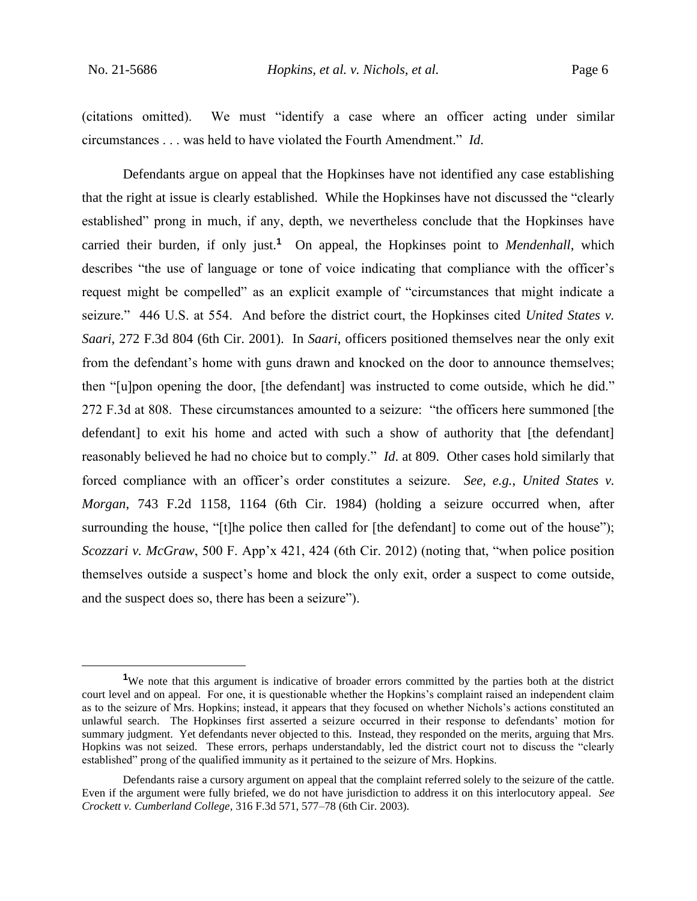(citations omitted). We must "identify a case where an officer acting under similar circumstances . . . was held to have violated the Fourth Amendment." *Id*.

Defendants argue on appeal that the Hopkinses have not identified any case establishing that the right at issue is clearly established. While the Hopkinses have not discussed the "clearly established" prong in much, if any, depth, we nevertheless conclude that the Hopkinses have carried their burden, if only just.**<sup>1</sup>** On appeal, the Hopkinses point to *Mendenhall*, which describes "the use of language or tone of voice indicating that compliance with the officer's request might be compelled" as an explicit example of "circumstances that might indicate a seizure." 446 U.S. at 554. And before the district court, the Hopkinses cited *United States v. Saari*, 272 F.3d 804 (6th Cir. 2001). In *Saari*, officers positioned themselves near the only exit from the defendant's home with guns drawn and knocked on the door to announce themselves; then "[u]pon opening the door, [the defendant] was instructed to come outside, which he did." 272 F.3d at 808. These circumstances amounted to a seizure: "the officers here summoned [the defendant] to exit his home and acted with such a show of authority that [the defendant] reasonably believed he had no choice but to comply." *Id*. at 809. Other cases hold similarly that forced compliance with an officer's order constitutes a seizure. *See, e.g.*, *United States v. Morgan*, 743 F.2d 1158, 1164 (6th Cir. 1984) (holding a seizure occurred when, after surrounding the house, "[t]he police then called for [the defendant] to come out of the house"); *Scozzari v. McGraw*, 500 F. App'x 421, 424 (6th Cir. 2012) (noting that, "when police position themselves outside a suspect's home and block the only exit, order a suspect to come outside, and the suspect does so, there has been a seizure").

<sup>&</sup>lt;sup>1</sup>We note that this argument is indicative of broader errors committed by the parties both at the district court level and on appeal. For one, it is questionable whether the Hopkins's complaint raised an independent claim as to the seizure of Mrs. Hopkins; instead, it appears that they focused on whether Nichols's actions constituted an unlawful search. The Hopkinses first asserted a seizure occurred in their response to defendants' motion for summary judgment. Yet defendants never objected to this. Instead, they responded on the merits, arguing that Mrs. Hopkins was not seized. These errors, perhaps understandably, led the district court not to discuss the "clearly established" prong of the qualified immunity as it pertained to the seizure of Mrs. Hopkins.

Defendants raise a cursory argument on appeal that the complaint referred solely to the seizure of the cattle. Even if the argument were fully briefed, we do not have jurisdiction to address it on this interlocutory appeal. *See Crockett v. Cumberland College*, 316 F.3d 571, 577–78 (6th Cir. 2003).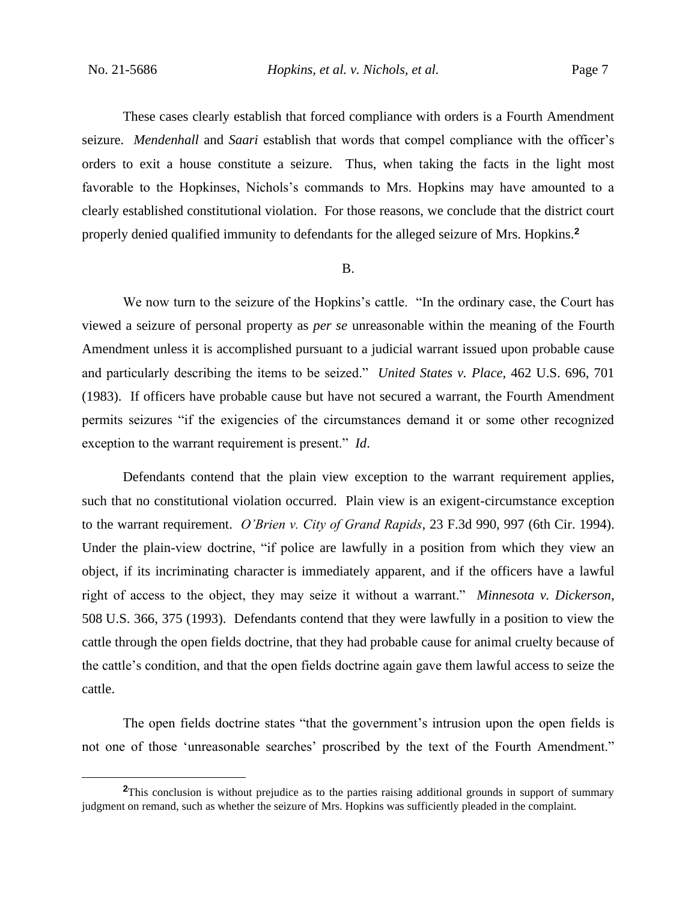These cases clearly establish that forced compliance with orders is a Fourth Amendment seizure. *Mendenhall* and *Saari* establish that words that compel compliance with the officer's orders to exit a house constitute a seizure. Thus, when taking the facts in the light most favorable to the Hopkinses, Nichols's commands to Mrs. Hopkins may have amounted to a clearly established constitutional violation. For those reasons, we conclude that the district court properly denied qualified immunity to defendants for the alleged seizure of Mrs. Hopkins.**<sup>2</sup>**

#### B.

We now turn to the seizure of the Hopkins's cattle. "In the ordinary case, the Court has viewed a seizure of personal property as *per se* unreasonable within the meaning of the Fourth Amendment unless it is accomplished pursuant to a judicial warrant issued upon probable cause and particularly describing the items to be seized." *United States v. Place*, 462 U.S. 696, 701 (1983). If officers have probable cause but have not secured a warrant, the Fourth Amendment permits seizures "if the exigencies of the circumstances demand it or some other recognized exception to the warrant requirement is present." *Id*.

Defendants contend that the plain view exception to the warrant requirement applies, such that no constitutional violation occurred. Plain view is an exigent-circumstance exception to the warrant requirement. *O'Brien v. City of Grand Rapids*, 23 F.3d 990, 997 (6th Cir. 1994). Under the plain-view doctrine, "if police are lawfully in a position from which they view an object, if its incriminating character is immediately apparent, and if the officers have a lawful right of access to the object, they may seize it without a warrant." *Minnesota v. Dickerson*, 508 U.S. 366, 375 (1993). Defendants contend that they were lawfully in a position to view the cattle through the open fields doctrine, that they had probable cause for animal cruelty because of the cattle's condition, and that the open fields doctrine again gave them lawful access to seize the cattle.

The open fields doctrine states "that the government's intrusion upon the open fields is not one of those 'unreasonable searches' proscribed by the text of the Fourth Amendment."

**<sup>2</sup>**This conclusion is without prejudice as to the parties raising additional grounds in support of summary judgment on remand, such as whether the seizure of Mrs. Hopkins was sufficiently pleaded in the complaint.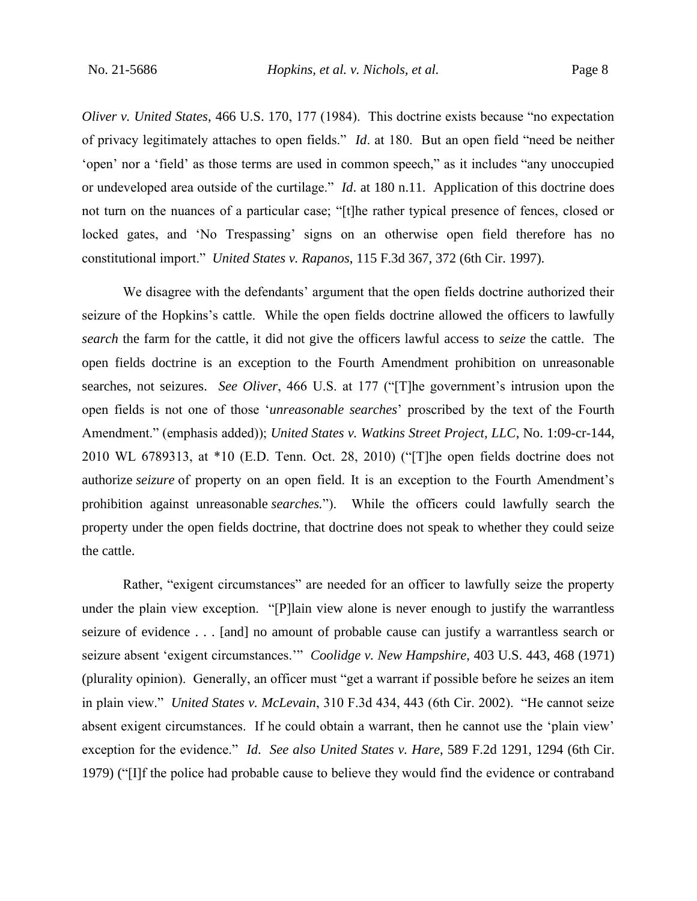*Oliver v. United States*, 466 U.S. 170, 177 (1984). This doctrine exists because "no expectation of privacy legitimately attaches to open fields." *Id*. at 180. But an open field "need be neither 'open' nor a 'field' as those terms are used in common speech," as it includes "any unoccupied or undeveloped area outside of the curtilage." *Id*. at 180 n.11. Application of this doctrine does not turn on the nuances of a particular case; "[t]he rather typical presence of fences, closed or locked gates, and 'No Trespassing' signs on an otherwise open field therefore has no constitutional import." *United States v. Rapanos*, 115 F.3d 367, 372 (6th Cir. 1997).

We disagree with the defendants' argument that the open fields doctrine authorized their seizure of the Hopkins's cattle. While the open fields doctrine allowed the officers to lawfully *search* the farm for the cattle, it did not give the officers lawful access to *seize* the cattle. The open fields doctrine is an exception to the Fourth Amendment prohibition on unreasonable searches, not seizures. *See Oliver*, 466 U.S. at 177 ("[T]he government's intrusion upon the open fields is not one of those '*unreasonable searches*' proscribed by the text of the Fourth Amendment." (emphasis added)); *United States v. Watkins Street Project, LLC*, No. 1:09-cr-144, 2010 WL 6789313, at \*10 (E.D. Tenn. Oct. 28, 2010) ("[T]he open fields doctrine does not authorize *seizure* of property on an open field. It is an exception to the Fourth Amendment's prohibition against unreasonable *searches.*"). While the officers could lawfully search the property under the open fields doctrine, that doctrine does not speak to whether they could seize the cattle.

Rather, "exigent circumstances" are needed for an officer to lawfully seize the property under the plain view exception. "[P]lain view alone is never enough to justify the warrantless seizure of evidence . . . [and] no amount of probable cause can justify a warrantless search or seizure absent 'exigent circumstances.'" *Coolidge v. New Hampshire*, 403 U.S. 443, 468 (1971) (plurality opinion). Generally, an officer must "get a warrant if possible before he seizes an item in plain view." *United States v. McLevain*, 310 F.3d 434, 443 (6th Cir. 2002). "He cannot seize absent exigent circumstances. If he could obtain a warrant, then he cannot use the 'plain view' exception for the evidence." *Id*. *See also United States v. Hare*, 589 F.2d 1291, 1294 (6th Cir. 1979) ("[I]f the police had probable cause to believe they would find the evidence or contraband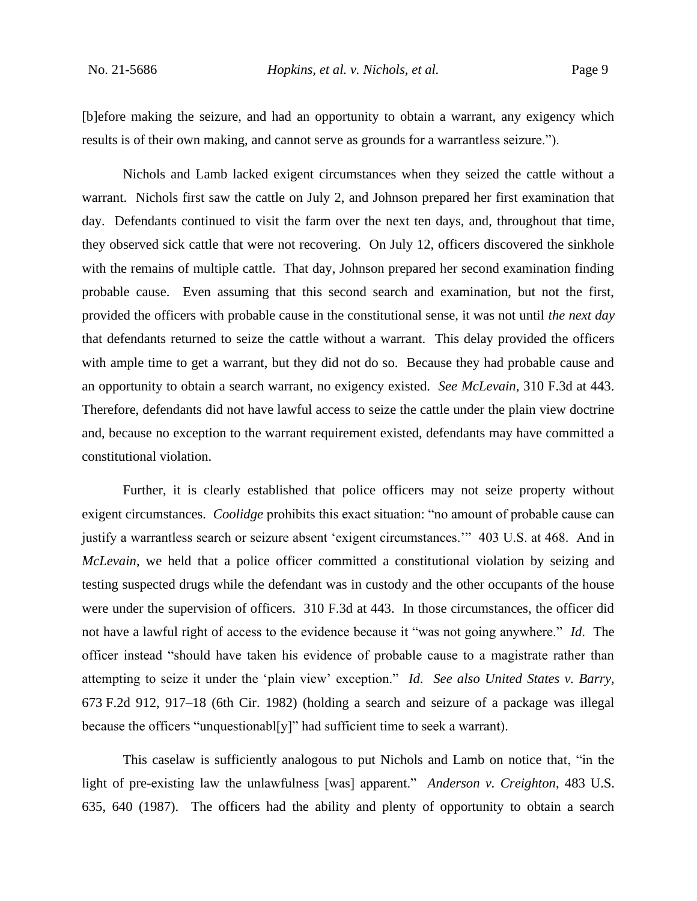[b]efore making the seizure, and had an opportunity to obtain a warrant, any exigency which results is of their own making, and cannot serve as grounds for a warrantless seizure.").

Nichols and Lamb lacked exigent circumstances when they seized the cattle without a warrant. Nichols first saw the cattle on July 2, and Johnson prepared her first examination that day. Defendants continued to visit the farm over the next ten days, and, throughout that time, they observed sick cattle that were not recovering. On July 12, officers discovered the sinkhole with the remains of multiple cattle. That day, Johnson prepared her second examination finding probable cause. Even assuming that this second search and examination, but not the first, provided the officers with probable cause in the constitutional sense, it was not until *the next day*  that defendants returned to seize the cattle without a warrant. This delay provided the officers with ample time to get a warrant, but they did not do so. Because they had probable cause and an opportunity to obtain a search warrant, no exigency existed. *See McLevain*, 310 F.3d at 443. Therefore, defendants did not have lawful access to seize the cattle under the plain view doctrine and, because no exception to the warrant requirement existed, defendants may have committed a constitutional violation.

Further, it is clearly established that police officers may not seize property without exigent circumstances. *Coolidge* prohibits this exact situation: "no amount of probable cause can justify a warrantless search or seizure absent 'exigent circumstances.'" 403 U.S. at 468. And in *McLevain*, we held that a police officer committed a constitutional violation by seizing and testing suspected drugs while the defendant was in custody and the other occupants of the house were under the supervision of officers. 310 F.3d at 443. In those circumstances, the officer did not have a lawful right of access to the evidence because it "was not going anywhere." *Id*. The officer instead "should have taken his evidence of probable cause to a magistrate rather than attempting to seize it under the 'plain view' exception." *Id*. *See also United States v. Barry*, 673 F.2d 912, 917–18 (6th Cir. 1982) (holding a search and seizure of a package was illegal because the officers "unquestionabl[y]" had sufficient time to seek a warrant).

This caselaw is sufficiently analogous to put Nichols and Lamb on notice that, "in the light of pre-existing law the unlawfulness [was] apparent." *Anderson v. Creighton*, 483 U.S. 635, 640 (1987). The officers had the ability and plenty of opportunity to obtain a search